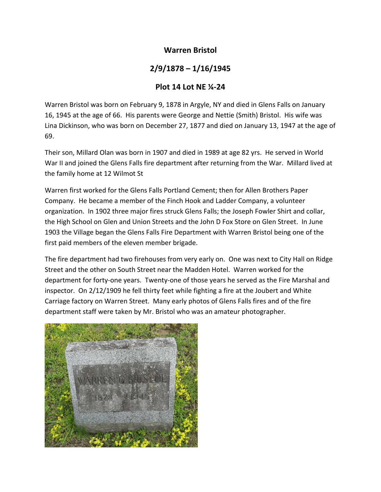## **Warren Bristol**

## **2/9/1878 – 1/16/1945**

## **Plot 14 Lot NE ¼‐24**

Warren Bristol was born on February 9, 1878 in Argyle, NY and died in Glens Falls on January 16, 1945 at the age of 66. His parents were George and Nettie (Smith) Bristol. His wife was Lina Dickinson, who was born on December 27, 1877 and died on January 13, 1947 at the age of 69.

Their son, Millard Olan was born in 1907 and died in 1989 at age 82 yrs. He served in World War II and joined the Glens Falls fire department after returning from the War. Millard lived at the family home at 12 Wilmot St

Warren first worked for the Glens Falls Portland Cement; then for Allen Brothers Paper Company. He became a member of the Finch Hook and Ladder Company, a volunteer organization. In 1902 three major fires struck Glens Falls; the Joseph Fowler Shirt and collar, the High School on Glen and Union Streets and the John D Fox Store on Glen Street. In June 1903 the Village began the Glens Falls Fire Department with Warren Bristol being one of the first paid members of the eleven member brigade.

The fire department had two firehouses from very early on. One was next to City Hall on Ridge Street and the other on South Street near the Madden Hotel. Warren worked for the department for forty-one years. Twenty-one of those years he served as the Fire Marshal and inspector. On 2/12/1909 he fell thirty feet while fighting a fire at the Joubert and White Carriage factory on Warren Street. Many early photos of Glens Falls fires and of the fire department staff were taken by Mr. Bristol who was an amateur photographer.